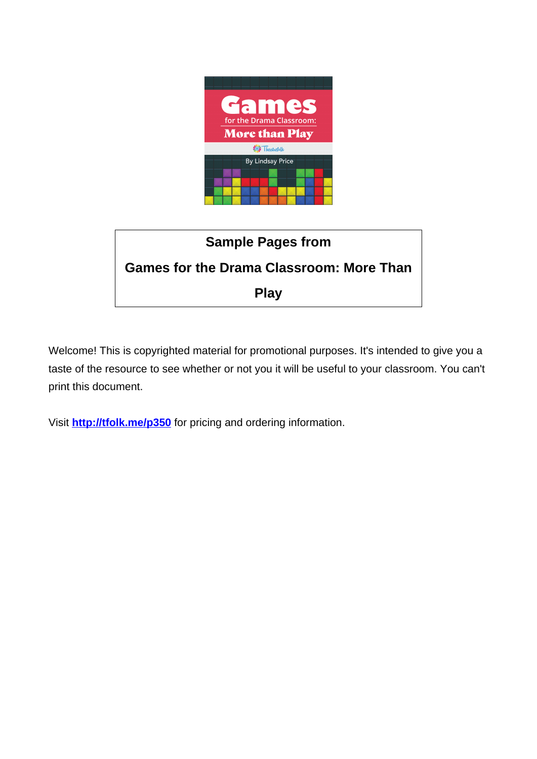



Welcome! This is copyrighted material for promotional purposes. It's intended to give you a taste of the resource to see whether or not you it will be useful to your classroom. You can't print this document.

Visit **http://tfolk.me/p350** for pricing and ordering information.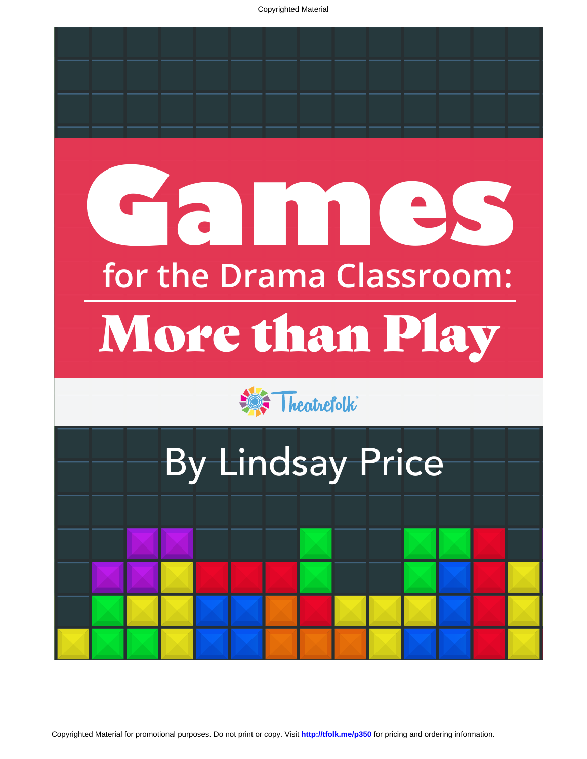Copyrighted Material

# **for the Drama Classroom:** More than Play **Games**





Copyrighted Material for promotional purposes. Do not print or copy. Visit **<http://tfolk.me/p350>** for pricing and ordering information.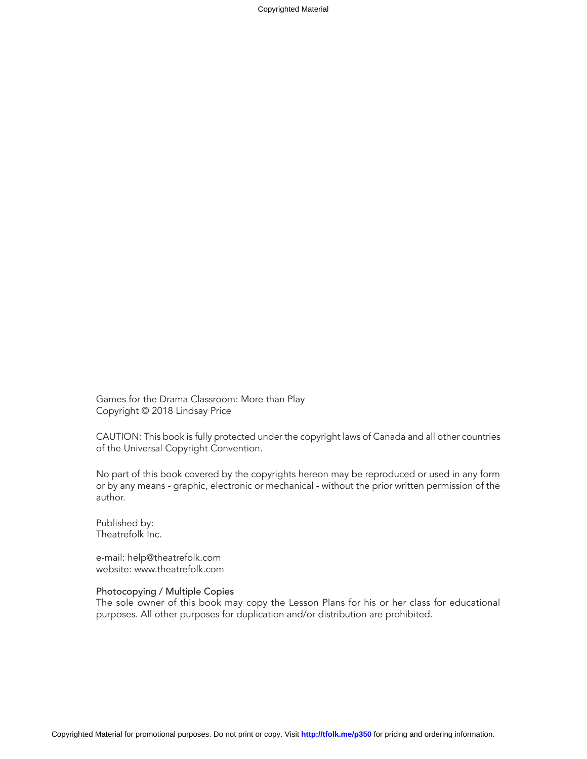Copyrighted Material

Games for the Drama Classroom: More than Play Copyright © 2018 Lindsay Price

CAUTION: This book is fully protected under the copyright laws of Canada and all other countries of the Universal Copyright Convention.

No part of this book covered by the copyrights hereon may be reproduced or used in any form or by any means - graphic, electronic or mechanical - without the prior written permission of the author.

Published by: Theatrefolk Inc.

e-mail: help@theatrefolk.com website: www.theatrefolk.com

#### Photocopying / Multiple Copies

The sole owner of this book may copy the Lesson Plans for his or her class for educational purposes. All other purposes for duplication and/or distribution are prohibited.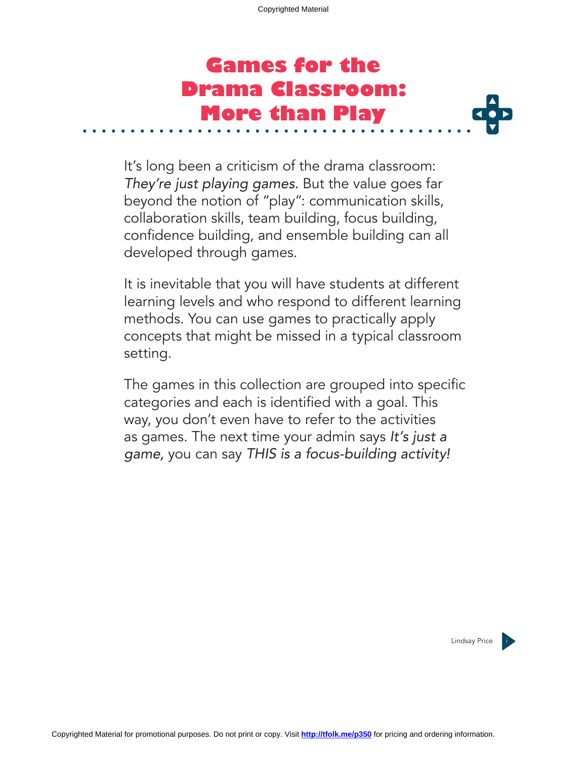## **Games for the Drama Classroom: More than Play**

It's long been a criticism of the drama classroom: *They're just playing games.* But the value goes far beyond the notion of "play": communication skills, collaboration skills, team building, focus building, confidence building, and ensemble building can all developed through games.

It is inevitable that you will have students at different learning levels and who respond to different learning methods. You can use games to practically apply concepts that might be missed in a typical classroom setting.

The games in this collection are grouped into specific categories and each is identified with a goal. This way, you don't even have to refer to the activities as games. The next time your admin says *It's just a game,* you can say *THIS is a focus-building activity!*

Lindsay Price i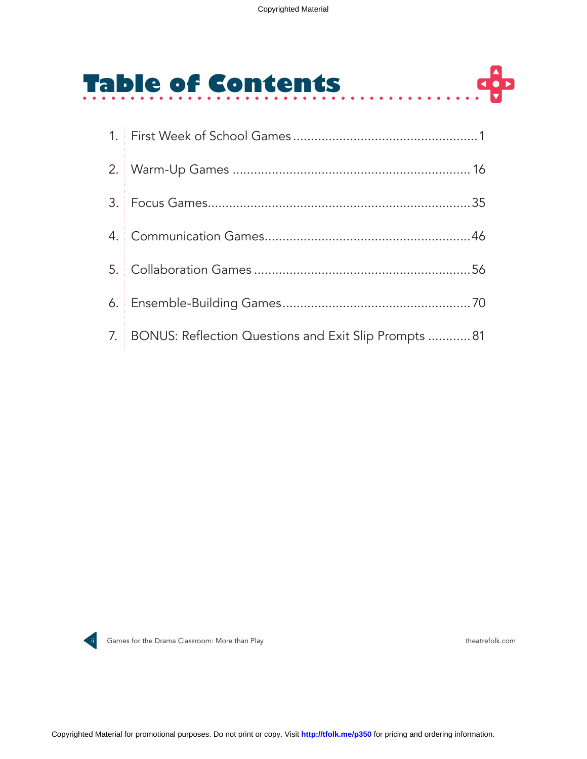# **Table of Contents**

| 7. BONUS: Reflection Questions and Exit Slip Prompts  81 |
|----------------------------------------------------------|



ii Games for the Drama Classroom: More than Play theatrefolk.com theatrefolk.com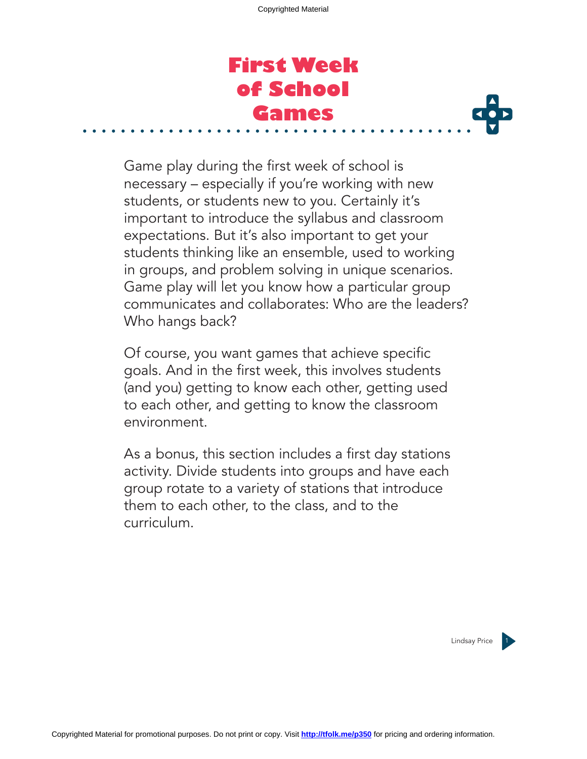### **First Week of School Games**



Game play during the first week of school is necessary – especially if you're working with new students, or students new to you. Certainly it's important to introduce the syllabus and classroom expectations. But it's also important to get your students thinking like an ensemble, used to working in groups, and problem solving in unique scenarios. Game play will let you know how a particular group communicates and collaborates: Who are the leaders? Who hangs back?

Of course, you want games that achieve specific goals. And in the first week, this involves students (and you) getting to know each other, getting used to each other, and getting to know the classroom environment.

As a bonus, this section includes a first day stations activity. Divide students into groups and have each group rotate to a variety of stations that introduce them to each other, to the class, and to the curriculum.

Lindsay Price 1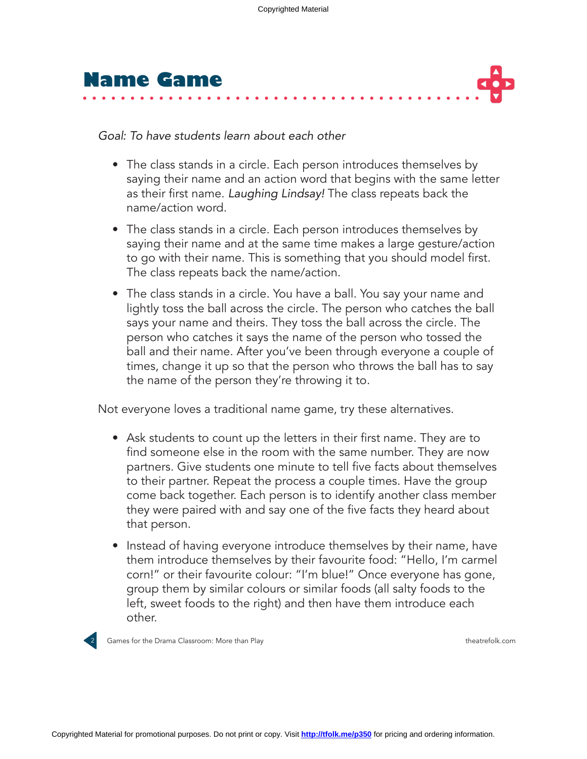



*Goal: To have students learn about each other*

- The class stands in a circle. Each person introduces themselves by saying their name and an action word that begins with the same letter as their first name. *Laughing Lindsay!* The class repeats back the name/action word.
- The class stands in a circle. Each person introduces themselves by saying their name and at the same time makes a large gesture/action to go with their name. This is something that you should model first. The class repeats back the name/action.
- The class stands in a circle. You have a ball. You say your name and lightly toss the ball across the circle. The person who catches the ball says your name and theirs. They toss the ball across the circle. The person who catches it says the name of the person who tossed the ball and their name. After you've been through everyone a couple of times, change it up so that the person who throws the ball has to say the name of the person they're throwing it to.

Not everyone loves a traditional name game, try these alternatives.

- Ask students to count up the letters in their first name. They are to find someone else in the room with the same number. They are now partners. Give students one minute to tell five facts about themselves to their partner. Repeat the process a couple times. Have the group come back together. Each person is to identify another class member they were paired with and say one of the five facts they heard about that person.
- Instead of having everyone introduce themselves by their name, have them introduce themselves by their favourite food: "Hello, I'm carmel corn!" or their favourite colour: "I'm blue!" Once everyone has gone, group them by similar colours or similar foods (all salty foods to the left, sweet foods to the right) and then have them introduce each other.



2 Games for the Drama Classroom: More than Play theatrefolk.com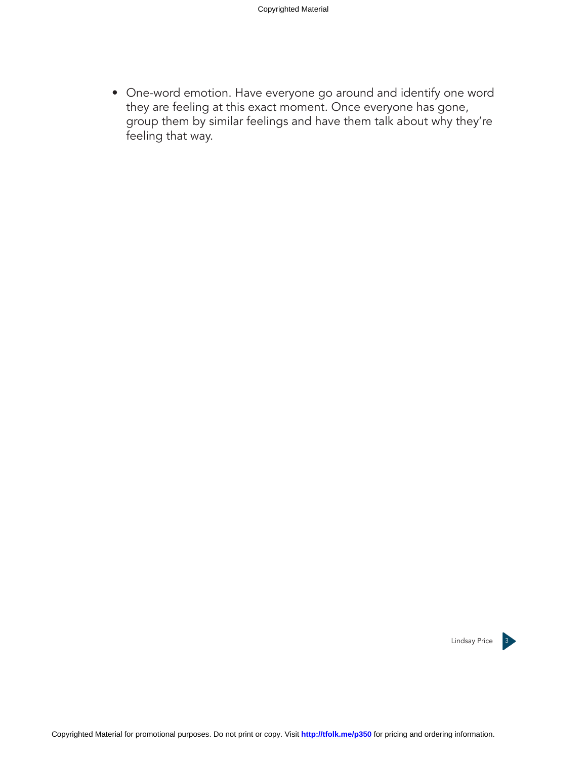• One-word emotion. Have everyone go around and identify one word they are feeling at this exact moment. Once everyone has gone, group them by similar feelings and have them talk about why they're feeling that way.

Lindsay Price 3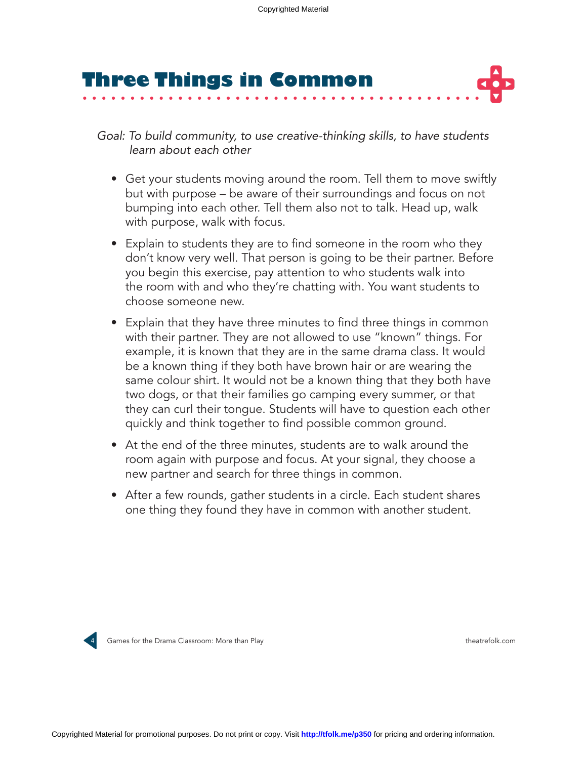# **Three Things in Common**

*Goal: To build community, to use creative-thinking skills, to have students learn about each other*

- Get your students moving around the room. Tell them to move swiftly but with purpose – be aware of their surroundings and focus on not bumping into each other. Tell them also not to talk. Head up, walk with purpose, walk with focus.
- Explain to students they are to find someone in the room who they don't know very well. That person is going to be their partner. Before you begin this exercise, pay attention to who students walk into the room with and who they're chatting with. You want students to choose someone new.
- Explain that they have three minutes to find three things in common with their partner. They are not allowed to use "known" things. For example, it is known that they are in the same drama class. It would be a known thing if they both have brown hair or are wearing the same colour shirt. It would not be a known thing that they both have two dogs, or that their families go camping every summer, or that they can curl their tongue. Students will have to question each other quickly and think together to find possible common ground.
- At the end of the three minutes, students are to walk around the room again with purpose and focus. At your signal, they choose a new partner and search for three things in common.
- After a few rounds, gather students in a circle. Each student shares one thing they found they have in common with another student.



4 Games for the Drama Classroom: More than Play theatrefolk.com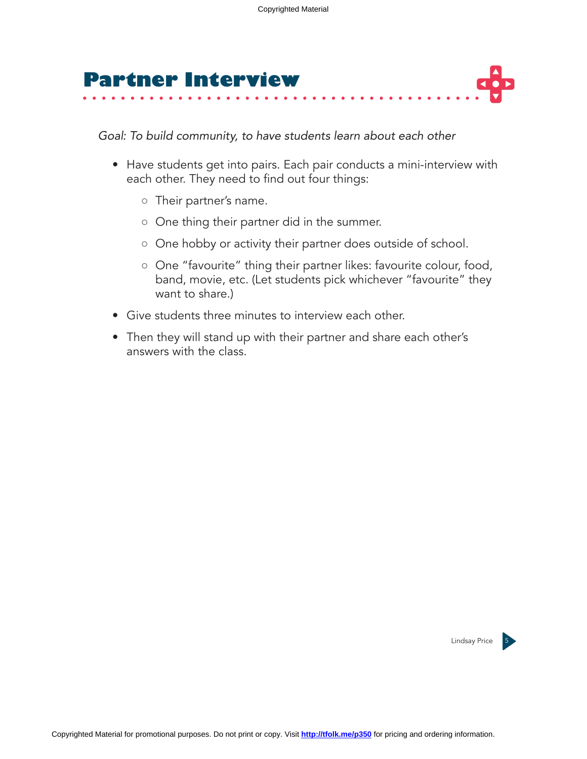

*Goal: To build community, to have students learn about each other*

- Have students get into pairs. Each pair conducts a mini-interview with each other. They need to find out four things:
	- Their partner's name.
	- One thing their partner did in the summer.
	- One hobby or activity their partner does outside of school.
	- One "favourite" thing their partner likes: favourite colour, food, band, movie, etc. (Let students pick whichever "favourite" they want to share.)
- Give students three minutes to interview each other.
- Then they will stand up with their partner and share each other's answers with the class.

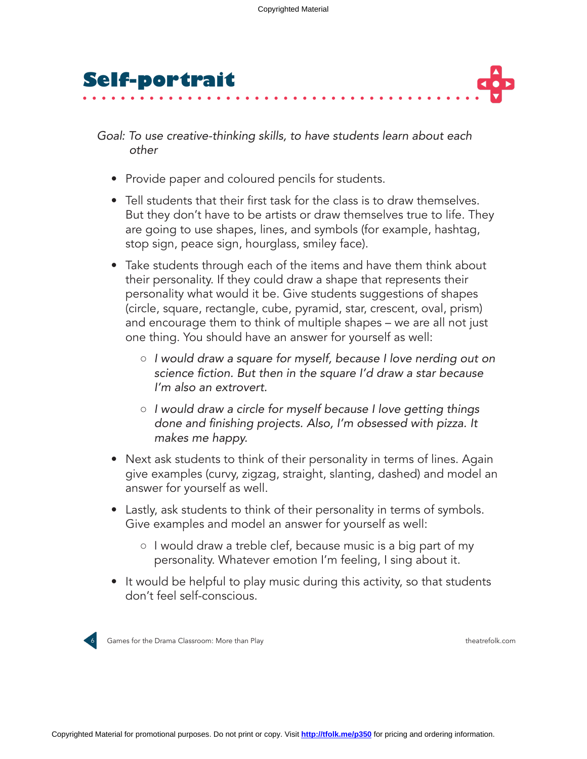



*Goal: To use creative-thinking skills, to have students learn about each other*

- Provide paper and coloured pencils for students.
- Tell students that their first task for the class is to draw themselves. But they don't have to be artists or draw themselves true to life. They are going to use shapes, lines, and symbols (for example, hashtag, stop sign, peace sign, hourglass, smiley face).
- Take students through each of the items and have them think about their personality. If they could draw a shape that represents their personality what would it be. Give students suggestions of shapes (circle, square, rectangle, cube, pyramid, star, crescent, oval, prism) and encourage them to think of multiple shapes – we are all not just one thing. You should have an answer for yourself as well:
	- *I would draw a square for myself, because I love nerding out on*  science fiction. But then in the square I'd draw a star because *I'm also an extrovert.*
	- *I would draw a circle for myself because I love getting things*  done and finishing projects. Also, I'm obsessed with pizza. It *makes me happy.*
- Next ask students to think of their personality in terms of lines. Again give examples (curvy, zigzag, straight, slanting, dashed) and model an answer for yourself as well.
- Lastly, ask students to think of their personality in terms of symbols. Give examples and model an answer for yourself as well:
	- I would draw a treble clef, because music is a big part of my personality. Whatever emotion I'm feeling, I sing about it.
- It would be helpful to play music during this activity, so that students don't feel self-conscious.



6 Games for the Drama Classroom: More than Play theatrefolk.com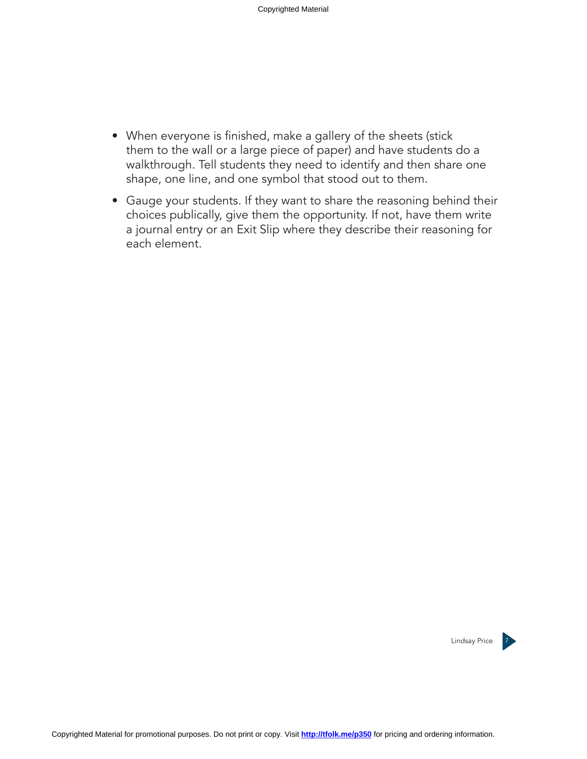- When everyone is finished, make a gallery of the sheets (stick them to the wall or a large piece of paper) and have students do a walkthrough. Tell students they need to identify and then share one shape, one line, and one symbol that stood out to them.
- Gauge your students. If they want to share the reasoning behind their choices publically, give them the opportunity. If not, have them write a journal entry or an Exit Slip where they describe their reasoning for each element.

Lindsay Price 7